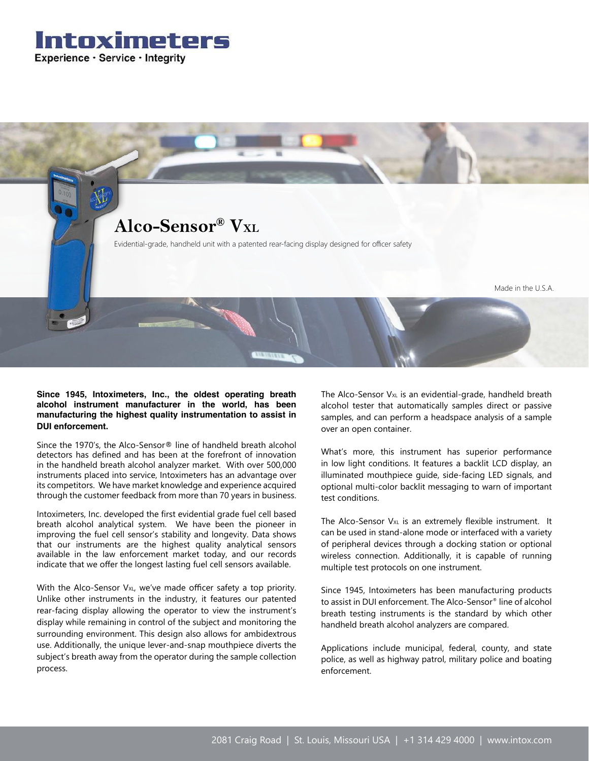



**Since 1945, Intoximeters, Inc., the oldest operating breath alcohol instrument manufacturer in the world, has been manufacturing the highest quality instrumentation to assist in DUI enforcement.** 

Since the 1970's, the Alco-Sensor® line of handheld breath alcohol detectors has defined and has been at the forefront of innovation in the handheld breath alcohol analyzer market. With over 500,000 instruments placed into service, Intoximeters has an advantage over its competitors. We have market knowledge and experience acquired through the customer feedback from more than 70 years in business.

Intoximeters, Inc. developed the first evidential grade fuel cell based breath alcohol analytical system. We have been the pioneer in improving the fuel cell sensor's stability and longevity. Data shows that our instruments are the highest quality analytical sensors available in the law enforcement market today, and our records indicate that we offer the longest lasting fuel cell sensors available.

With the Alco-Sensor  $V_{x}$ , we've made officer safety a top priority. Unlike other instruments in the industry, it features our patented rear-facing display allowing the operator to view the instrument's display while remaining in control of the subject and monitoring the surrounding environment. This design also allows for ambidextrous use. Additionally, the unique lever-and-snap mouthpiece diverts the subject's breath away from the operator during the sample collection process.

The Alco-Sensor  $V_{XL}$  is an evidential-grade, handheld breath alcohol tester that automatically samples direct or passive samples, and can perform a headspace analysis of a sample over an open container.

What's more, this instrument has superior performance in low light conditions. It features a backlit LCD display, an illuminated mouthpiece guide, side-facing LED signals, and optional multi-color backlit messaging to warn of important test conditions.

The Alco-Sensor V<sub>xL</sub> is an extremely flexible instrument. It can be used in stand-alone mode or interfaced with a variety of peripheral devices through a docking station or optional wireless connection. Additionally, it is capable of running multiple test protocols on one instrument.

Since 1945, Intoximeters has been manufacturing products to assist in DUI enforcement. The Alco-Sensor® line of alcohol breath testing instruments is the standard by which other handheld breath alcohol analyzers are compared.

Applications include municipal, federal, county, and state police, as well as highway patrol, military police and boating enforcement.